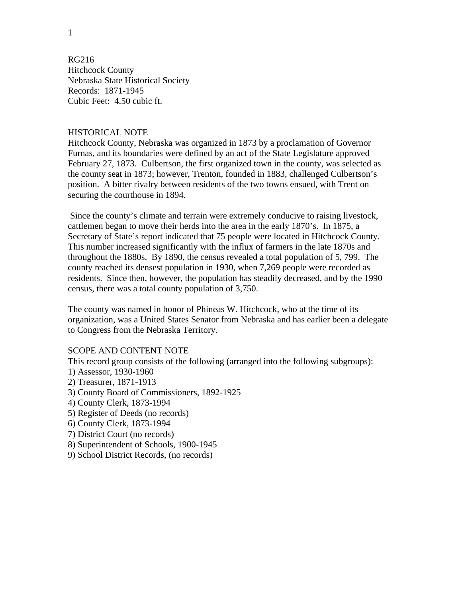1

RG216 Hitchcock County Nebraska State Historical Society Records: 1871-1945 Cubic Feet: 4.50 cubic ft.

## HISTORICAL NOTE

Hitchcock County, Nebraska was organized in 1873 by a proclamation of Governor Furnas, and its boundaries were defined by an act of the State Legislature approved February 27, 1873. Culbertson, the first organized town in the county, was selected as the county seat in 1873; however, Trenton, founded in 1883, challenged Culbertson's position. A bitter rivalry between residents of the two towns ensued, with Trent on securing the courthouse in 1894.

 Since the county's climate and terrain were extremely conducive to raising livestock, cattlemen began to move their herds into the area in the early 1870's. In 1875, a Secretary of State's report indicated that 75 people were located in Hitchcock County. This number increased significantly with the influx of farmers in the late 1870s and throughout the 1880s. By 1890, the census revealed a total population of 5, 799. The county reached its densest population in 1930, when 7,269 people were recorded as residents. Since then, however, the population has steadily decreased, and by the 1990 census, there was a total county population of 3,750.

The county was named in honor of Phineas W. Hitchcock, who at the time of its organization, was a United States Senator from Nebraska and has earlier been a delegate to Congress from the Nebraska Territory.

## SCOPE AND CONTENT NOTE

This record group consists of the following (arranged into the following subgroups):

- 1) Assessor, 1930-1960
- 2) Treasurer, 1871-1913
- 3) County Board of Commissioners, 1892-1925
- 4) County Clerk, 1873-1994
- 5) Register of Deeds (no records)
- 6) County Clerk, 1873-1994
- 7) District Court (no records)
- 8) Superintendent of Schools, 1900-1945
- 9) School District Records, (no records)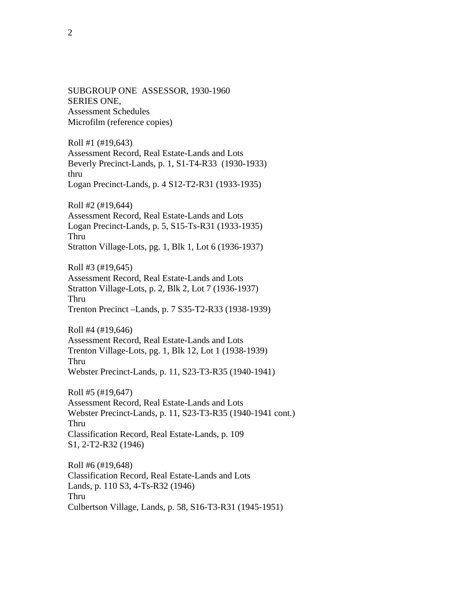SUBGROUP ONE ASSESSOR, 1930-1960 SERIES ONE, Assessment Schedules Microfilm (reference copies)

Roll #1 (#19,643) Assessment Record, Real Estate-Lands and Lots Beverly Precinct-Lands, p. 1, S1-T4-R33 (1930-1933) thru Logan Precinct-Lands, p. 4 S12-T2-R31 (1933-1935)

Roll #2 (#19,644) Assessment Record, Real Estate-Lands and Lots Logan Precinct-Lands, p. 5, S15-Ts-R31 (1933-1935) Thru Stratton Village-Lots, pg. 1, Blk 1, Lot 6 (1936-1937)

Roll #3 (#19,645) Assessment Record, Real Estate-Lands and Lots Stratton Village-Lots, p. 2, Blk 2, Lot 7 (1936-1937) Thru Trenton Precinct –Lands, p. 7 S35-T2-R33 (1938-1939)

Roll #4 (#19,646) Assessment Record, Real Estate-Lands and Lots Trenton Village-Lots, pg. 1, Blk 12, Lot 1 (1938-1939) Thru Webster Precinct-Lands, p. 11, S23-T3-R35 (1940-1941)

Roll #5 (#19,647) Assessment Record, Real Estate-Lands and Lots Webster Precinct-Lands, p. 11, S23-T3-R35 (1940-1941 cont.) Thru Classification Record, Real Estate-Lands, p. 109 S1, 2-T2-R32 (1946)

Roll #6 (#19,648) Classification Record, Real Estate-Lands and Lots Lands, p. 110 S3, 4-Ts-R32 (1946) Thru Culbertson Village, Lands, p. 58, S16-T3-R31 (1945-1951)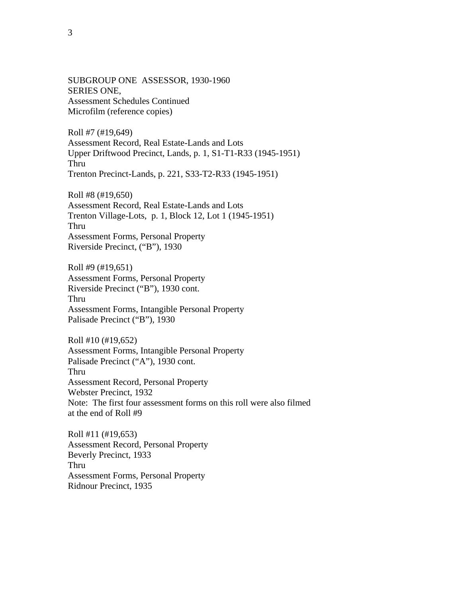SUBGROUP ONE ASSESSOR, 1930-1960 SERIES ONE, Assessment Schedules Continued Microfilm (reference copies)

Roll #7 (#19,649) Assessment Record, Real Estate-Lands and Lots Upper Driftwood Precinct, Lands, p. 1, S1-T1-R33 (1945-1951) Thru Trenton Precinct-Lands, p. 221, S33-T2-R33 (1945-1951)

Roll #8 (#19,650) Assessment Record, Real Estate-Lands and Lots Trenton Village-Lots, p. 1, Block 12, Lot 1 (1945-1951) Thru Assessment Forms, Personal Property Riverside Precinct, ("B"), 1930

Roll #9 (#19,651) Assessment Forms, Personal Property Riverside Precinct ("B"), 1930 cont. Thru Assessment Forms, Intangible Personal Property Palisade Precinct ("B"), 1930

Roll #10 (#19,652) Assessment Forms, Intangible Personal Property Palisade Precinct ("A"), 1930 cont. Thru Assessment Record, Personal Property Webster Precinct, 1932 Note: The first four assessment forms on this roll were also filmed at the end of Roll #9

Roll #11 (#19,653) Assessment Record, Personal Property Beverly Precinct, 1933 Thru Assessment Forms, Personal Property Ridnour Precinct, 1935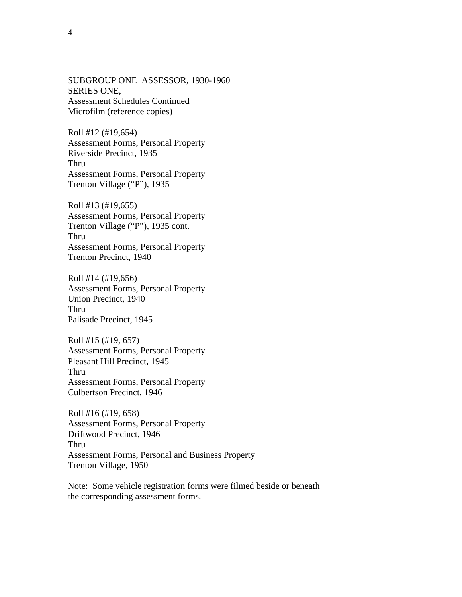SUBGROUP ONE ASSESSOR, 1930-1960 SERIES ONE, Assessment Schedules Continued Microfilm (reference copies)

Roll #12 (#19,654) Assessment Forms, Personal Property Riverside Precinct, 1935 Thru Assessment Forms, Personal Property Trenton Village ("P"), 1935

Roll #13 (#19,655) Assessment Forms, Personal Property Trenton Village ("P"), 1935 cont. Thru Assessment Forms, Personal Property Trenton Precinct, 1940

Roll #14 (#19,656) Assessment Forms, Personal Property Union Precinct, 1940 Thru Palisade Precinct, 1945

Roll #15 (#19, 657) Assessment Forms, Personal Property Pleasant Hill Precinct, 1945 Thru Assessment Forms, Personal Property Culbertson Precinct, 1946

Roll #16 (#19, 658) Assessment Forms, Personal Property Driftwood Precinct, 1946 Thru Assessment Forms, Personal and Business Property Trenton Village, 1950

Note: Some vehicle registration forms were filmed beside or beneath the corresponding assessment forms.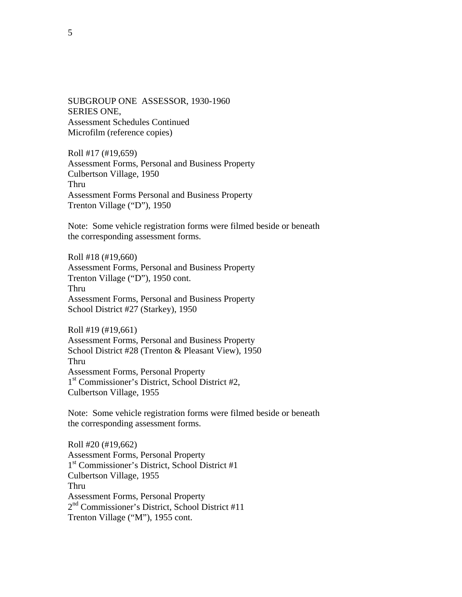SUBGROUP ONE ASSESSOR, 1930-1960 SERIES ONE, Assessment Schedules Continued Microfilm (reference copies)

Roll #17 (#19,659) Assessment Forms, Personal and Business Property Culbertson Village, 1950 Thru Assessment Forms Personal and Business Property Trenton Village ("D"), 1950

Note: Some vehicle registration forms were filmed beside or beneath the corresponding assessment forms.

Roll #18 (#19,660) Assessment Forms, Personal and Business Property Trenton Village ("D"), 1950 cont. Thru Assessment Forms, Personal and Business Property School District #27 (Starkey), 1950

Roll #19 (#19,661) Assessment Forms, Personal and Business Property School District #28 (Trenton & Pleasant View), 1950 Thru Assessment Forms, Personal Property 1st Commissioner's District, School District #2, Culbertson Village, 1955

Note: Some vehicle registration forms were filmed beside or beneath the corresponding assessment forms.

Roll #20 (#19,662) Assessment Forms, Personal Property 1st Commissioner's District, School District #1 Culbertson Village, 1955 Thru Assessment Forms, Personal Property 2nd Commissioner's District, School District #11 Trenton Village ("M"), 1955 cont.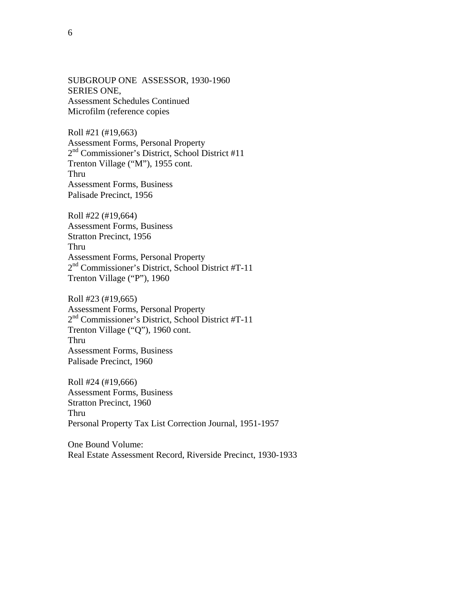SUBGROUP ONE ASSESSOR, 1930-1960 SERIES ONE, Assessment Schedules Continued Microfilm (reference copies

Roll #21 (#19,663) Assessment Forms, Personal Property 2nd Commissioner's District, School District #11 Trenton Village ("M"), 1955 cont. Thru Assessment Forms, Business Palisade Precinct, 1956

Roll #22 (#19,664) Assessment Forms, Business Stratton Precinct, 1956 Thru Assessment Forms, Personal Property 2nd Commissioner's District, School District #T-11 Trenton Village ("P"), 1960

Roll #23 (#19,665) Assessment Forms, Personal Property 2<sup>nd</sup> Commissioner's District, School District #T-11 Trenton Village ("Q"), 1960 cont. Thru Assessment Forms, Business Palisade Precinct, 1960

Roll #24 (#19,666) Assessment Forms, Business Stratton Precinct, 1960 Thru Personal Property Tax List Correction Journal, 1951-1957

One Bound Volume: Real Estate Assessment Record, Riverside Precinct, 1930-1933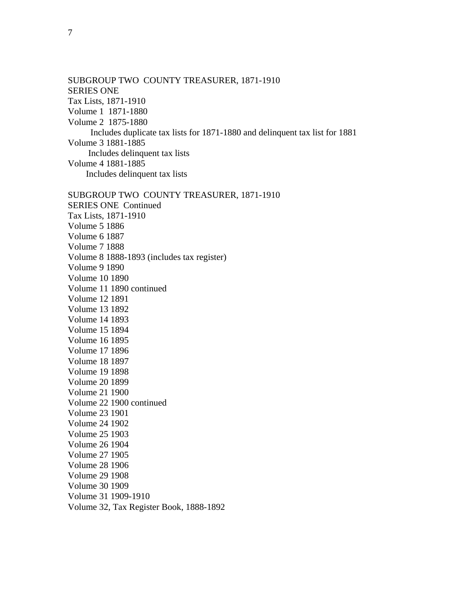SUBGROUP TWO COUNTY TREASURER, 1871-1910 SERIES ONE Tax Lists, 1871-1910 Volume 1 1871-1880 Volume 2 1875-1880 Includes duplicate tax lists for 1871-1880 and delinquent tax list for 1881 Volume 3 1881-1885 Includes delinquent tax lists Volume 4 1881-1885 Includes delinquent tax lists SUBGROUP TWO COUNTY TREASURER, 1871-1910 SERIES ONE Continued Tax Lists, 1871-1910

Volume 5 1886 Volume 6 1887 Volume 7 1888 Volume 8 1888-1893 (includes tax register) Volume 9 1890 Volume 10 1890 Volume 11 1890 continued Volume 12 1891 Volume 13 1892 Volume 14 1893 Volume 15 1894 Volume 16 1895 Volume 17 1896 Volume 18 1897 Volume 19 1898 Volume 20 1899 Volume 21 1900 Volume 22 1900 continued Volume 23 1901 Volume 24 1902 Volume 25 1903 Volume 26 1904 Volume 27 1905 Volume 28 1906 Volume 29 1908 Volume 30 1909 Volume 31 1909-1910 Volume 32, Tax Register Book, 1888-1892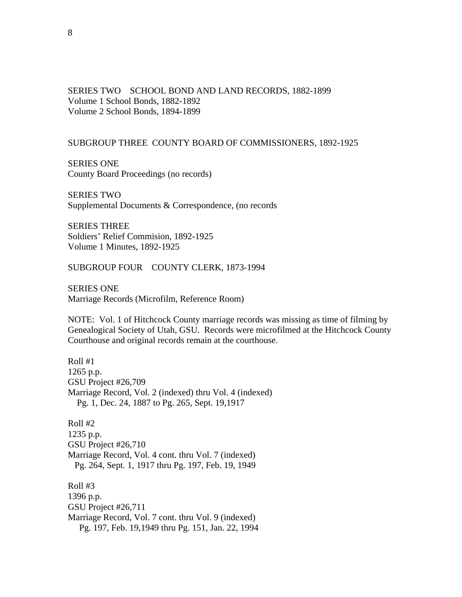SERIES TWO SCHOOL BOND AND LAND RECORDS, 1882-1899 Volume 1 School Bonds, 1882-1892 Volume 2 School Bonds, 1894-1899

#### SUBGROUP THREE COUNTY BOARD OF COMMISSIONERS, 1892-1925

SERIES ONE County Board Proceedings (no records)

SERIES TWO Supplemental Documents & Correspondence, (no records

SERIES THREE Soldiers' Relief Commision, 1892-1925 Volume 1 Minutes, 1892-1925

SUBGROUP FOUR COUNTY CLERK, 1873-1994

SERIES ONE Marriage Records (Microfilm, Reference Room)

NOTE: Vol. 1 of Hitchcock County marriage records was missing as time of filming by Genealogical Society of Utah, GSU. Records were microfilmed at the Hitchcock County Courthouse and original records remain at the courthouse.

Roll #1 1265 p.p. GSU Project #26,709 Marriage Record, Vol. 2 (indexed) thru Vol. 4 (indexed) Pg. 1, Dec. 24, 1887 to Pg. 265, Sept. 19,1917

Roll #2 1235 p.p. GSU Project #26,710 Marriage Record, Vol. 4 cont. thru Vol. 7 (indexed) Pg. 264, Sept. 1, 1917 thru Pg. 197, Feb. 19, 1949

Roll #3 1396 p.p. GSU Project #26,711 Marriage Record, Vol. 7 cont. thru Vol. 9 (indexed) Pg. 197, Feb. 19,1949 thru Pg. 151, Jan. 22, 1994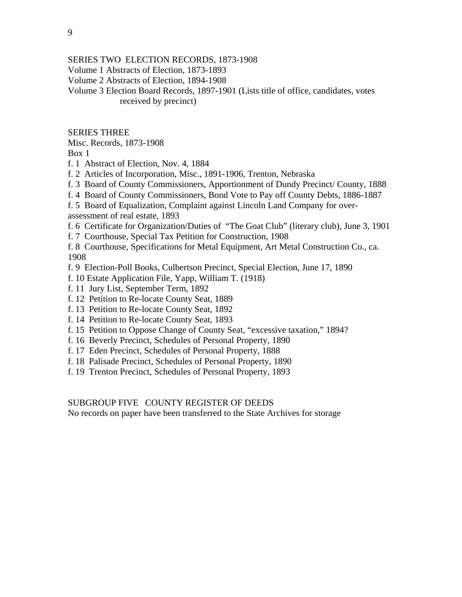SERIES TWO ELECTION RECORDS, 1873-1908 Volume 1 Abstracts of Election, 1873-1893 Volume 2 Abstracts of Election, 1894-1908 Volume 3 Election Board Records, 1897-1901 (Lists title of office, candidates, votes received by precinct)

### SERIES THREE

Misc. Records, 1873-1908

Box 1

- f. 1 Abstract of Election, Nov. 4, 1884
- f. 2 Articles of Incorporation, Misc., 1891-1906, Trenton, Nebraska
- f. 3 Board of County Commissioners, Apportionment of Dundy Precinct/ County, 1888
- f. 4 Board of County Commissioners, Bond Vote to Pay off County Debts, 1886-1887

f. 5 Board of Equalization, Complaint against Lincoln Land Company for overassessment of real estate, 1893

- f. 6 Certificate for Organization/Duties of "The Goat Club" (literary club), June 3, 1901
- f. 7 Courthouse, Special Tax Petition for Construction, 1908

f. 8 Courthouse, Specifications for Metal Equipment, Art Metal Construction Co., ca. 1908

- f. 9 Election-Poll Books, Culbertson Precinct, Special Election, June 17, 1890
- f. 10 Estate Application File, Yapp, William T. (1918)
- f. 11 Jury List, September Term, 1892
- f. 12 Petition to Re-locate County Seat, 1889
- f. 13 Petition to Re-locate County Seat, 1892
- f. 14 Petition to Re-locate County Seat, 1893
- f. 15 Petition to Oppose Change of County Seat, "excessive taxation," 1894?
- f. 16 Beverly Precinct, Schedules of Personal Property, 1890
- f. 17 Eden Precinct, Schedules of Personal Property, 1888
- f. 18 Palisade Precinct, Schedules of Personal Property, 1890
- f. 19 Trenton Precinct, Schedules of Personal Property, 1893

### SUBGROUP FIVE COUNTY REGISTER OF DEEDS

No records on paper have been transferred to the State Archives for storage